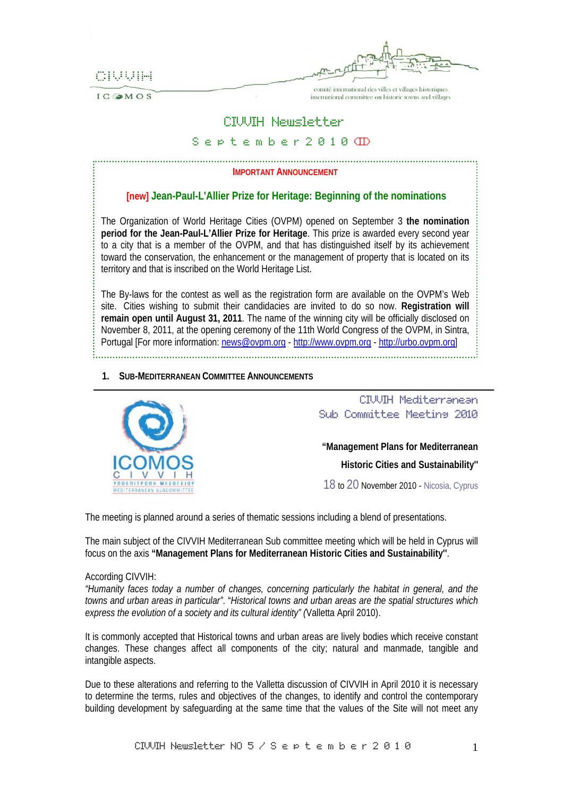CIVVIH

IC OMOS

comité international des villes et villages historiques international committee on historic towns and villages

# CIVVIH Newsletter

# S e p t e m b e r 2 0 1 0 (II)

# **IMPORTANT ANNOUNCEMENT**

# **[new] Jean-Paul-L'Allier Prize for Heritage: Beginning of the nominations**

The Organization of World Heritage Cities (OVPM) opened on September 3 **the nomination period for the Jean-Paul-L'Allier Prize for Heritage**. This prize is awarded every second year to a city that is a member of the OVPM, and that has distinguished itself by its achievement toward the conservation, the enhancement or the management of property that is located on its territory and that is inscribed on the World Heritage List.

The By-laws for the contest as well as the registration form are available on the OVPM's Web site. Cities wishing to submit their candidacies are invited to do so now. **Registration will remain open until August 31, 2011**. The name of the winning city will be officially disclosed on November 8, 2011, at the opening ceremony of the 11th World Congress of the OVPM, in Sintra, Portugal [For more information: news@ovpm.org - http://www.ovpm.org - http://urbo.ovpm.org] 

**1. SUB-MEDITERRANEAN COMMITTEE ANNOUNCEMENTS**



 CIVVIH Mediterranean Sub Committee Meeting 2010 **"Management Plans for Mediterranean Historic Cities and Sustainability''** 

18 to 20 November 2010 - Nicosia, Cyprus

The meeting is planned around a series of thematic sessions including a blend of presentations.

The main subject of the CIVVIH Mediterranean Sub committee meeting which will be held in Cyprus will focus on the axis **"Management Plans for Mediterranean Historic Cities and Sustainability''**.

## According CIVVIH:

*"Humanity faces today a number of changes, concerning particularly the habitat in general, and the towns and urban areas in particular"*. "*Historical towns and urban areas are the spatial structures which express the evolution of a society and its cultural identity" (*Valletta April 2010).

It is commonly accepted that Historical towns and urban areas are lively bodies which receive constant changes. These changes affect all components of the city; natural and manmade, tangible and intangible aspects.

Due to these alterations and referring to the Valletta discussion of CIVVIH in April 2010 it is necessary to determine the terms, rules and objectives of the changes, to identify and control the contemporary building development by safeguarding at the same time that the values of the Site will not meet any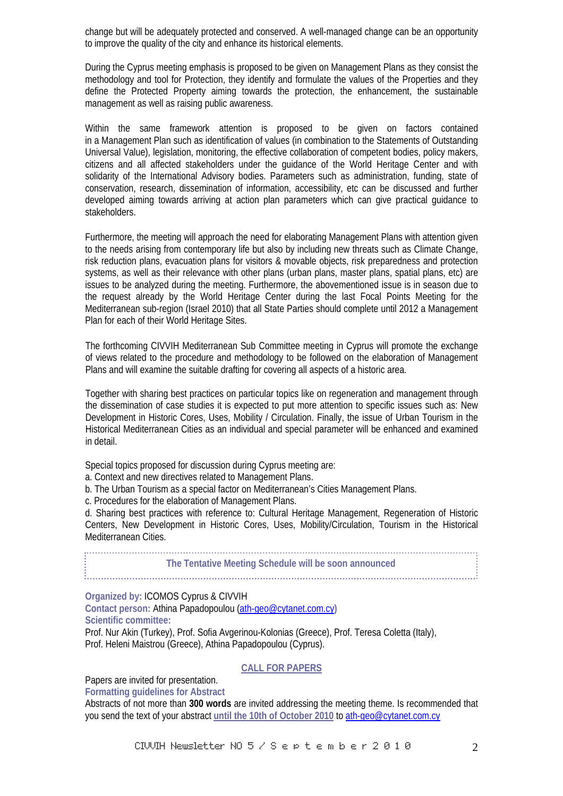change but will be adequately protected and conserved. A well-managed change can be an opportunity to improve the quality of the city and enhance its historical elements.

During the Cyprus meeting emphasis is proposed to be given on Management Plans as they consist the methodology and tool for Protection, they identify and formulate the values of the Properties and they define the Protected Property aiming towards the protection, the enhancement, the sustainable management as well as raising public awareness.

Within the same framework attention is proposed to be given on factors contained in a Management Plan such as identification of values (in combination to the Statements of Outstanding Universal Value), legislation, monitoring, the effective collaboration of competent bodies, policy makers, citizens and all affected stakeholders under the guidance of the World Heritage Center and with solidarity of the International Advisory bodies. Parameters such as administration, funding, state of conservation, research, dissemination of information, accessibility, etc can be discussed and further developed aiming towards arriving at action plan parameters which can give practical guidance to stakeholders.

Furthermore, the meeting will approach the need for elaborating Management Plans with attention given to the needs arising from contemporary life but also by including new threats such as Climate Change, risk reduction plans, evacuation plans for visitors & movable objects, risk preparedness and protection systems, as well as their relevance with other plans (urban plans, master plans, spatial plans, etc) are issues to be analyzed during the meeting. Furthermore, the abovementioned issue is in season due to the request already by the World Heritage Center during the last Focal Points Meeting for the Mediterranean sub-region (Israel 2010) that all State Parties should complete until 2012 a Management Plan for each of their World Heritage Sites.

The forthcoming CIVVIH Mediterranean Sub Committee meeting in Cyprus will promote the exchange of views related to the procedure and methodology to be followed on the elaboration of Management Plans and will examine the suitable drafting for covering all aspects of a historic area.

Together with sharing best practices on particular topics like on regeneration and management through the dissemination of case studies it is expected to put more attention to specific issues such as: New Development in Historic Cores, Uses, Mobility / Circulation. Finally, the issue of Urban Tourism in the Historical Mediterranean Cities as an individual and special parameter will be enhanced and examined in detail.

Special topics proposed for discussion during Cyprus meeting are:

a. Context and new directives related to Management Plans.

b. The Urban Tourism as a special factor on Mediterranean's Cities Management Plans.

c. Procedures for the elaboration of Management Plans.

d. Sharing best practices with reference to: Cultural Heritage Management, Regeneration of Historic Centers, New Development in Historic Cores, Uses, Mobility/Circulation, Tourism in the Historical Mediterranean Cities.

**The Tentative Meeting Schedule will be soon announced** 

**Organized by:** ICOMOS Cyprus & CIVVIH

**Contact person:** Athina Papadopoulou (ath-geo@cytanet.com.cy**) Scientific committee:** 

Prof. Nur Akin (Turkey), Prof. Sofia Avgerinou-Kolonias (Greece), Prof. Teresa Coletta (Italy), Prof. Heleni Maistrou (Greece), Athina Papadopoulou (Cyprus).

**CALL FOR PAPERS**

Papers are invited for presentation.

**Formatting guidelines for Abstract** 

Abstracts of not more than **300 words** are invited addressing the meeting theme. Is recommended that you send the text of your abstract **until the 10th of October 2010** to ath-geo@cytanet.com.cy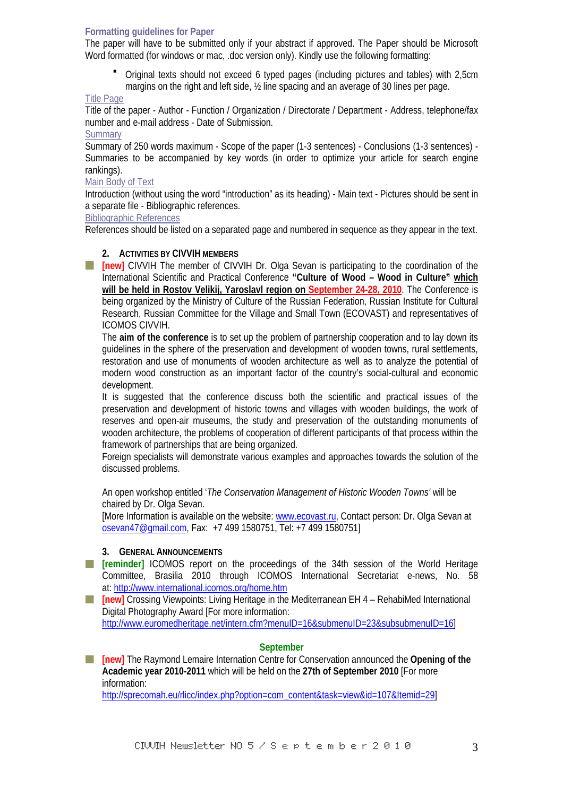#### **Formatting guidelines for Paper**

The paper will have to be submitted only if your abstract if approved. The Paper should be Microsoft Word formatted (for windows or mac, .doc version only). Kindly use the following formatting:

 Original texts should not exceed 6 typed pages (including pictures and tables) with 2,5cm margins on the right and left side, ½ line spacing and an average of 30 lines per page.

## Title Page

Title of the paper - Author - Function / Organization / Directorate / Department - Address, telephone/fax number and e-mail address - Date of Submission.

## **Summary**

Summary of 250 words maximum - Scope of the paper (1-3 sentences) - Conclusions (1-3 sentences) - Summaries to be accompanied by key words (in order to optimize your article for search engine rankings).

# Main Body of Text

Introduction (without using the word "introduction" as its heading) - Main text - Pictures should be sent in a separate file - Bibliographic references.

Bibliographic References

References should be listed on a separated page and numbered in sequence as they appear in the text.

## **2. ACTIVITIES BY CIVVIH MEMBERS**

TT I **[new]** CIVVIH The member of CIVVIH Dr. Olga Sevan is participating to the coordination of the International Scientific and Practical Conference **"Culture of Wood – Wood in Culture" which will be held in Rostov Velikij, Yaroslavl region on September 24-28, 2010**. The Conference is being organized by the Ministry of Culture of the Russian Federation, Russian Institute for Cultural Research, Russian Committee for the Village and Small Town (ECOVAST) and representatives of ICOMOS CIVVIH.

The **aim of the conference** is to set up the problem of partnership cooperation and to lay down its guidelines in the sphere of the preservation and development of wooden towns, rural settlements, restoration and use of monuments of wooden architecture as well as to analyze the potential of modern wood construction as an important factor of the country's social-cultural and economic development.

It is suggested that the conference discuss both the scientific and practical issues of the preservation and development of historic towns and villages with wooden buildings, the work of reserves and open-air museums, the study and preservation of the outstanding monuments of wooden architecture, the problems of cooperation of different participants of that process within the framework of partnerships that are being organized.

Foreign specialists will demonstrate various examples and approaches towards the solution of the discussed problems.

An open workshop entitled '*The Conservation Management of Historic Wooden Towns'* will be chaired by Dr. Olga Sevan.

[More Information is available on the website: www.ecovast.ru, Contact person: Dr. Olga Sevan at osevan47@gmail.com, Fax: +7 499 1580751, Tel: +7 499 1580751]

## **3. GENERAL ANNOUNCEMENTS**

**[art ] [reminder]** ICOMOS report on the proceedings of the 34th session of the World Heritage Committee, Brasilia 2010 through ICOMOS International Secretariat e-news, No. 58 at: http://www.international.icomos.org/home.htm

**[new]** Crossing Viewpoints: Living Heritage in the Mediterranean EH 4 – RehabiMed International TT T Digital Photography Award [For more information:

http://www.euromedheritage.net/intern.cfm?menuID=16&submenuID=23&subsubmenuID=16]

## **September**

**[new]** The Raymond Lemaire Internation Centre for Conservation announced the **Opening of the Academic year 2010-2011** which will be held on the **27th of September 2010** [For more information:

http://sprecomah.eu/rlicc/index.php?option=com\_content&task=view&id=107&Itemid=29]